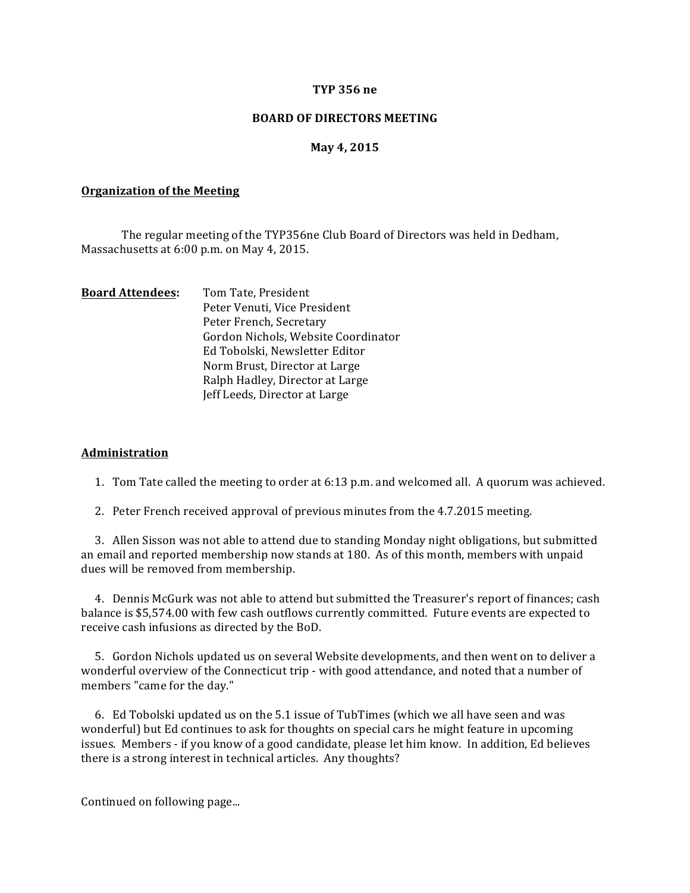### **TYP 356 ne**

## **BOARD OF DIRECTORS MEETING**

# **May 4, 2015**

#### **Organization of the Meeting**

The regular meeting of the TYP356ne Club Board of Directors was held in Dedham, Massachusetts at 6:00 p.m. on May 4, 2015.

| <b>Board Attendees:</b> | Tom Tate, President                 |
|-------------------------|-------------------------------------|
|                         | Peter Venuti, Vice President        |
|                         | Peter French, Secretary             |
|                         | Gordon Nichols, Website Coordinator |
|                         | Ed Tobolski, Newsletter Editor      |
|                         | Norm Brust, Director at Large       |
|                         | Ralph Hadley, Director at Large     |
|                         | Jeff Leeds, Director at Large       |
|                         |                                     |

### **Administration**

1. Tom Tate called the meeting to order at 6:13 p.m. and welcomed all. A quorum was achieved.

2. Peter French received approval of previous minutes from the 4.7.2015 meeting.

3. Allen Sisson was not able to attend due to standing Monday night obligations, but submitted an email and reported membership now stands at 180. As of this month, members with unpaid dues will be removed from membership.

4. Dennis McGurk was not able to attend but submitted the Treasurer's report of finances; cash balance is \$5,574.00 with few cash outflows currently committed. Future events are expected to receive cash infusions as directed by the BoD.

5. Gordon Nichols updated us on several Website developments, and then went on to deliver a wonderful overview of the Connecticut trip - with good attendance, and noted that a number of members "came for the day."

6. Ed Tobolski updated us on the 5.1 issue of TubTimes (which we all have seen and was wonderful) but Ed continues to ask for thoughts on special cars he might feature in upcoming issues. Members - if you know of a good candidate, please let him know. In addition, Ed believes there is a strong interest in technical articles. Any thoughts?

Continued on following page...